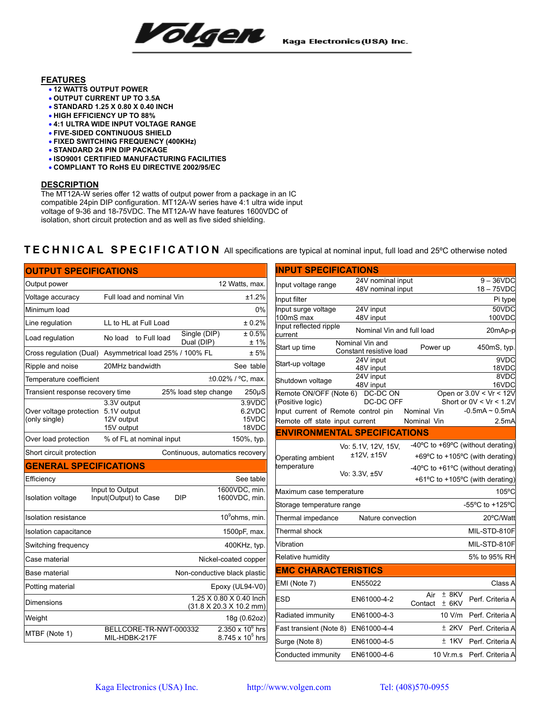Volgen

## **FEATURES**

- **12 WATTS OUTPUT POWER**
- **OUTPUT CURRENT UP TO 3.5A**
- **STANDARD 1.25 X 0.80 X 0.40 INCH**
- **HIGH EFFICIENCY UP TO 88%**
- **4:1 ULTRA WIDE INPUT VOLTAGE RANGE**
- **FIVE-SIDED CONTINUOUS SHIELD**
- **FIXED SWITCHING FREQUENCY (400KHz)**
- **STANDARD 24 PIN DIP PACKAGE**
- **ISO9001 CERTIFIED MANUFACTURING FACILITIES**
- **COMPLIANT TO RoHS EU DIRECTIVE 2002/95/EC**

## **DESCRIPTION**

The MT12A-W series offer 12 watts of output power from a package in an IC compatible 24pin DIP configuration. MT12A-W series have 4:1 ultra wide input voltage of 9-36 and 18-75VDC. The MT12A-W have features 1600VDC of isolation, short circuit protection and as well as five sided shielding.

## **TECHNICAL SPECIFICATION** All specifications are typical at nominal input, full load and 25ºC otherwise noted

| <b>OUTPUT SPECIFICATIONS</b>             |                                                        |                                                                        |
|------------------------------------------|--------------------------------------------------------|------------------------------------------------------------------------|
| Output power                             |                                                        | 12 Watts, max.                                                         |
| Voltage accuracy                         | Full load and nominal Vin                              | ±1.2%                                                                  |
| Minimum load                             |                                                        | $0\%$                                                                  |
| Line regulation                          | LL to HL at Full Load                                  | ± 0.2%                                                                 |
| Load regulation                          | Single (DIP)<br>No load<br>to Full load<br>Dual (DIP)  | ± 0.5%<br>±1%                                                          |
| Cross regulation (Dual)                  | Asymmetrical load 25% / 100% FL                        | ± 5%                                                                   |
| Ripple and noise                         | 20MHz bandwidth                                        | See table                                                              |
| Temperature coefficient                  |                                                        | ±0.02% / °C, max.                                                      |
| Transient response recovery time         | 25% load step change                                   | $250\mu S$                                                             |
| Over voltage protection<br>(only single) | 3.3V output<br>5.1V output<br>12V output<br>15V output | $3.9$ VDC<br>6.2VDC<br>15VDC<br>18VDC                                  |
| Over load protection                     | % of FL at nominal input                               | 150%, typ.                                                             |
| Short circuit protection                 |                                                        | Continuous, automatics recovery                                        |
| <b>GENERAL SPECIFICATIONS</b>            |                                                        |                                                                        |
| Efficiency                               |                                                        | See table                                                              |
| <b>Isolation voltage</b>                 | Input to Output<br>Input(Output) to Case<br>DIP        | 1600VDC, min.<br>1600VDC, min.                                         |
| <b>Isolation resistance</b>              |                                                        | 10 <sup>9</sup> ohms, min.                                             |
| Isolation capacitance                    |                                                        | 1500pF, max.                                                           |
| Switching frequency                      |                                                        | 400KHz, typ.                                                           |
| Case material                            |                                                        | Nickel-coated copper                                                   |
| Base material                            |                                                        | Non-conductive black plastic                                           |
| Potting material                         |                                                        | Epoxy (UL94-V0)                                                        |
| Dimensions                               |                                                        | 1.25 X 0.80 X 0.40 Inch<br>$(31.8 \times 20.3 \times 10.2 \text{ mm})$ |
| Weight                                   |                                                        | 18g (0.62oz)                                                           |
| MTBF (Note 1)                            | BELLCORE-TR-NWT-000332<br>MIL-HDBK-217F                | $2.350 \times 10^6$ hrs<br>8.745 x 10 <sup>5</sup> hrs                 |

| <b>INPUT SPECIFICATIONS</b>                |                                            |                                      |                                                        |
|--------------------------------------------|--------------------------------------------|--------------------------------------|--------------------------------------------------------|
| Input voltage range                        | 24V nominal input                          |                                      | $9 - 36$ VDC                                           |
| Input filter                               | 48V nominal input                          |                                      | 18-75VDC<br>Pi type                                    |
| Input surge voltage                        | 24V input                                  |                                      | 50VDC                                                  |
| 100mS max                                  | 48V input                                  |                                      | 100VDC                                                 |
| Input reflected ripple<br>current          | Nominal Vin and full load                  |                                      | 20mAp-p                                                |
| Start up time                              | Nominal Vin and<br>Constant resistive load | Power up                             | 450mS, typ.                                            |
| Start-up voltage                           | 24V input<br>48V input                     |                                      | 9VDC<br>18VDC                                          |
| Shutdown voltage                           | 24V input<br>48V input                     |                                      | 8VDC<br>16VDC                                          |
| Remote ON/OFF (Note 6)<br>(Positive logic) | DC-DC ON<br>DC-DC OFF                      |                                      | Open or $3.0V < Vr < 12V$<br>Short or $0V < Vr < 1.2V$ |
| Input current of Remote control pin        |                                            | Nominal Vin                          | $-0.5mA \sim 0.5mA$                                    |
| Remote off state input current             |                                            | Nominal Vin                          | $2.5m$ A                                               |
| <b>ENVIRONMENTAL SPECIFICATIONS</b>        |                                            |                                      |                                                        |
|                                            | Vo: 5.1V, 12V, 15V,                        | -40°C to +69°C (without derating)    |                                                        |
| Operating ambient                          | ±12V, ±15V                                 |                                      | +69°C to +105°C (with derating)                        |
| temperature                                | Vo: 3.3V, ±5V                              | -40°C to +61°C (without derating)    |                                                        |
|                                            |                                            |                                      | +61°C to +105°C (with derating)                        |
| Maximum case temperature                   |                                            |                                      | $105^{\circ}$ C                                        |
| Storage temperature range                  |                                            |                                      | -55°C to +125°C                                        |
| Thermal impedance                          | Nature convection                          |                                      | 20°C/Watt                                              |
| Thermal shock                              |                                            |                                      | MIL-STD-810F                                           |
| Vibration                                  |                                            |                                      | MIL-STD-810F                                           |
| Relative humidity                          |                                            |                                      | 5% to 95% RH                                           |
| <b>EMC CHARACTERISTICS</b>                 |                                            |                                      |                                                        |
| EMI (Note 7)                               | EN55022                                    |                                      | Class A                                                |
| <b>ESD</b>                                 | EN61000-4-2                                | $±$ 8KV<br>Air<br>Contact<br>$±$ 6KV | Perf. Criteria A                                       |
| Radiated immunity                          | EN61000-4-3                                | 10 V/m                               | Perf. Criteria A                                       |
| Fast transient (Note 8) EN61000-4-4        |                                            | $±$ 2KV                              | Perf. Criteria A                                       |
| Surge (Note 8)                             | EN61000-4-5                                | $±$ 1KV                              | Perf. Criteria A                                       |
| Conducted immunity                         | EN61000-4-6                                | 10 Vr.m.s                            | Perf. Criteria A                                       |